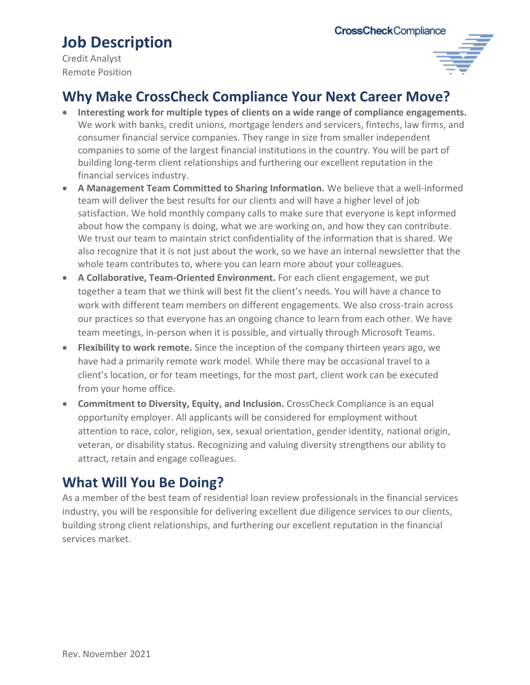# **Job Description**

Credit Analyst Remote Position



### **Why Make CrossCheck Compliance Your Next Career Move?**

- **Interesting work for multiple types of clients on a wide range of compliance engagements.**  We work with banks, credit unions, mortgage lenders and servicers, fintechs, law firms, and consumer financial service companies. They range in size from smaller independent companies to some of the largest financial institutions in the country. You will be part of building long-term client relationships and furthering our excellent reputation in the financial services industry.
- **A Management Team Committed to Sharing Information.** We believe that a well-informed team will deliver the best results for our clients and will have a higher level of job satisfaction. We hold monthly company calls to make sure that everyone is kept informed about how the company is doing, what we are working on, and how they can contribute. We trust our team to maintain strict confidentiality of the information that is shared. We also recognize that it is not just about the work, so we have an internal newsletter that the whole team contributes to, where you can learn more about your colleagues.
- **A Collaborative, Team-Oriented Environment.** For each client engagement, we put together a team that we think will best fit the client's needs. You will have a chance to work with different team members on different engagements. We also cross-train across our practices so that everyone has an ongoing chance to learn from each other. We have team meetings, in-person when it is possible, and virtually through Microsoft Teams.
- **Flexibility to work remote.** Since the inception of the company thirteen years ago, we have had a primarily remote work model. While there may be occasional travel to a client's location, or for team meetings, for the most part, client work can be executed from your home office.
- **Commitment to Diversity, Equity, and Inclusion.** CrossCheck Compliance is an equal opportunity employer. All applicants will be considered for employment without attention to race, color, religion, sex, sexual orientation, gender identity, national origin, veteran, or disability status. Recognizing and valuing diversity strengthens our ability to attract, retain and engage colleagues.

#### **What Will You Be Doing?**

As a member of the best team of residential loan review professionals in the financial services industry, you will be responsible for delivering excellent due diligence services to our clients, building strong client relationships, and furthering our excellent reputation in the financial services market.